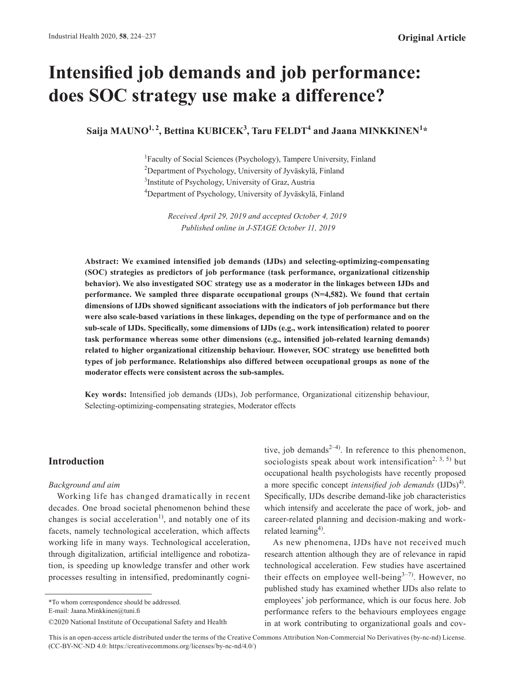# **Intensified job demands and job performance: does SOC strategy use make a difference?**

 $\boldsymbol{\mathrm{S}}$ aija MAUNO<sup>1, 2</sup>, Bettina KUBICEK<sup>3</sup>, Taru FELDT<sup>4</sup> and Jaana MINKKINEN<sup>1</sup>\*

<sup>1</sup>Faculty of Social Sciences (Psychology), Tampere University, Finland 2 Department of Psychology, University of Jyväskylä, Finland <sup>3</sup>Institute of Psychology, University of Graz, Austria 4 Department of Psychology, University of Jyväskylä, Finland

> *Received April 29, 2019 and accepted October 4, 2019 Published online in J-STAGE October 11, 2019*

**Abstract: We examined intensified job demands (IJDs) and selecting-optimizing-compensating (SOC) strategies as predictors of job performance (task performance, organizational citizenship behavior). We also investigated SOC strategy use as a moderator in the linkages between IJDs and performance. We sampled three disparate occupational groups (N=4,582). We found that certain dimensions of IJDs showed significant associations with the indicators of job performance but there were also scale-based variations in these linkages, depending on the type of performance and on the sub-scale of IJDs. Specifically, some dimensions of IJDs (e.g., work intensification) related to poorer task performance whereas some other dimensions (e.g., intensified job-related learning demands) related to higher organizational citizenship behaviour. However, SOC strategy use benefitted both types of job performance. Relationships also differed between occupational groups as none of the moderator effects were consistent across the sub-samples.**

**Key words:** Intensified job demands (IJDs), Job performance, Organizational citizenship behaviour, Selecting-optimizing-compensating strategies, Moderator effects

# **Introduction**

#### *Background and aim*

Working life has changed dramatically in recent decades. One broad societal phenomenon behind these changes is social acceleration<sup>[1\)](#page-12-0)</sup>, and notably one of its facets, namely technological acceleration, which affects working life in many ways. Technological acceleration, through digitalization, artificial intelligence and robotization, is speeding up knowledge transfer and other work processes resulting in intensified, predominantly cogni-

\*To whom correspondence should be addressed. E-mail: Jaana.Minkkinen@tuni.fi

tive, job demands<sup>[2–4](#page-12-1))</sup>. In reference to this phenomenon, sociologists speak about work intensification<sup>[2, 3, 5\)](#page-12-1)</sup> but occupational health psychologists have recently proposed a more specific concept *intensified job demands* (IJDs)<sup>[4](#page-12-2))</sup>. Specifically, IJDs describe demand-like job characteristics which intensify and accelerate the pace of work, job- and career-related planning and decision-making and workrelated learning<sup>4)</sup>.

As new phenomena, IJDs have not received much research attention although they are of relevance in rapid technological acceleration. Few studies have ascertained their effects on employee well-being $3-7$ ). However, no published study has examined whether IJDs also relate to employees' job performance, which is our focus here. Job performance refers to the behaviours employees engage in at work contributing to organizational goals and cov-

This is an open-access article distributed under the terms of the Creative Commons Attribution Non-Commercial No Derivatives (by-nc-nd) License. (CC-BY-NC-ND 4.0: https://creativecommons.org/licenses/by-nc-nd/4.0/)

<sup>©2020</sup> National Institute of Occupational Safety and Health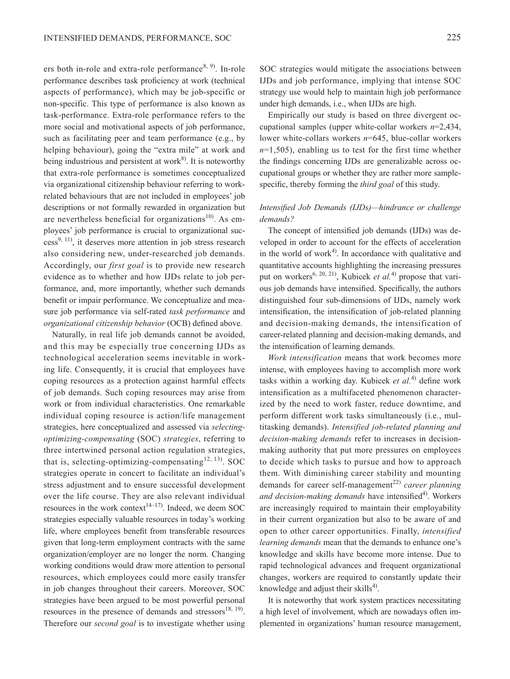ers both in-role and extra-role performance<sup>[8, 9\)](#page-12-4)</sup>. In-role performance describes task proficiency at work (technical aspects of performance), which may be job-specific or non-specific. This type of performance is also known as task-performance. Extra-role performance refers to the more social and motivational aspects of job performance, such as facilitating peer and team performance (e.g., by helping behaviour), going the "extra mile" at work and being industrious and persistent at work $^{8}$  $^{8}$  $^{8}$ . It is noteworthy that extra-role performance is sometimes conceptualized via organizational citizenship behaviour referring to workrelated behaviours that are not included in employees' job descriptions or not formally rewarded in organization but are nevertheless beneficial for organizations<sup>[10](#page-12-5))</sup>. As employees' job performance is crucial to organizational suc- $cess<sup>9, 11</sup>$  $cess<sup>9, 11</sup>$  $cess<sup>9, 11</sup>$ , it deserves more attention in job stress research also considering new, under-researched job demands. Accordingly, our *first goal* is to provide new research evidence as to whether and how IJDs relate to job performance, and, more importantly, whether such demands benefit or impair performance. We conceptualize and measure job performance via self-rated *task performance* and *organizational citizenship behavior* (OCB) defined above.

Naturally, in real life job demands cannot be avoided, and this may be especially true concerning IJDs as technological acceleration seems inevitable in working life. Consequently, it is crucial that employees have coping resources as a protection against harmful effects of job demands. Such coping resources may arise from work or from individual characteristics. One remarkable individual coping resource is action/life management strategies, here conceptualized and assessed via *selectingoptimizing-compensating* (SOC) *strategies*, referring to three intertwined personal action regulation strategies, that is, selecting-optimizing-compensating<sup>[12, 13](#page-12-7))</sup>. SOC strategies operate in concert to facilitate an individual's stress adjustment and to ensure successful development over the life course. They are also relevant individual resources in the work context<sup>14–17</sup>. Indeed, we deem SOC strategies especially valuable resources in today's working life, where employees benefit from transferable resources given that long-term employment contracts with the same organization/employer are no longer the norm. Changing working conditions would draw more attention to personal resources, which employees could more easily transfer in job changes throughout their careers. Moreover, SOC strategies have been argued to be most powerful personal resources in the presence of demands and stressors $^{18, 19}$ . Therefore our *second goal* is to investigate whether using

SOC strategies would mitigate the associations between IJDs and job performance, implying that intense SOC strategy use would help to maintain high job performance under high demands, i.e., when IJDs are high.

Empirically our study is based on three divergent occupational samples (upper white-collar workers *n*=2,434, lower white-collars workers *n*=645, blue-collar workers *n*=1,505), enabling us to test for the first time whether the findings concerning IJDs are generalizable across occupational groups or whether they are rather more samplespecific, thereby forming the *third goal* of this study.

## *Intensified Job Demands (IJDs)—hindrance or challenge demands?*

The concept of intensified job demands (IJDs) was developed in order to account for the effects of acceleration in the world of work $4$ . In accordance with qualitative and quantitative accounts highlighting the increasing pressures put on workers<sup>[6, 20, 21\)](#page-12-9)</sup>, Kubicek *et al.*<sup>[4\)](#page-12-2)</sup> propose that various job demands have intensified. Specifically, the authors distinguished four sub-dimensions of IJDs, namely work intensification, the intensification of job-related planning and decision-making demands, the intensification of career-related planning and decision-making demands, and the intensification of learning demands.

*Work intensification* means that work becomes more intense, with employees having to accomplish more work tasks within a working day. Kubicek *et al.*[4\)](#page-12-2) define work intensification as a multifaceted phenomenon characterized by the need to work faster, reduce downtime, and perform different work tasks simultaneously (i.e., multitasking demands). *Intensified job-related planning and decision-making demands* refer to increases in decisionmaking authority that put more pressures on employees to decide which tasks to pursue and how to approach them. With diminishing career stability and mounting demands for career self-management<sup>[22\)](#page-13-1)</sup> career planning and decision-making demands have intensified<sup>[4](#page-12-2))</sup>. Workers are increasingly required to maintain their employability in their current organization but also to be aware of and open to other career opportunities. Finally, *intensified learning demands* mean that the demands to enhance one's knowledge and skills have become more intense. Due to rapid technological advances and frequent organizational changes, workers are required to constantly update their knowledge and adjust their skills $4^{\circ}$  $4^{\circ}$ .

It is noteworthy that work system practices necessitating a high level of involvement, which are nowadays often implemented in organizations' human resource management,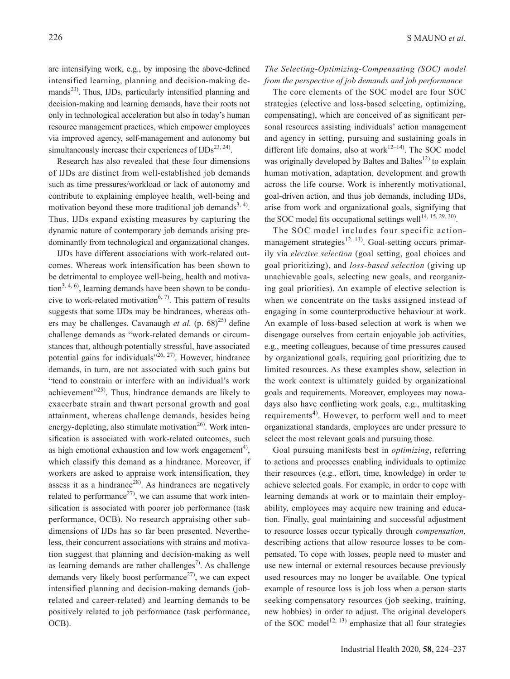are intensifying work, e.g., by imposing the above-defined intensified learning, planning and decision-making demands<sup>23)</sup>. Thus, IJDs, particularly intensified planning and decision-making and learning demands, have their roots not only in technological acceleration but also in today's human resource management practices, which empower employees via improved agency, self-management and autonomy but simultaneously increase their experiences of  $\text{IJDs}^{23, 24}$ .

Research has also revealed that these four dimensions of IJDs are distinct from well-established job demands such as time pressures/workload or lack of autonomy and contribute to explaining employee health, well-being and motivation beyond these more traditional job demands<sup>3, 4)</sup>. Thus, IJDs expand existing measures by capturing the dynamic nature of contemporary job demands arising predominantly from technological and organizational changes.

IJDs have different associations with work-related outcomes. Whereas work intensification has been shown to be detrimental to employee well-being, health and motiva- $\[\text{tion}^{3,4,6}\]$ , learning demands have been shown to be condu-cive to work-related motivation<sup>[6, 7](#page-12-9))</sup>. This pattern of results suggests that some IJDs may be hindrances, whereas others may be challenges. Cavanaugh *et al.* (p. 68)<sup>[25\)](#page-13-3)</sup> define challenge demands as "work-related demands or circumstances that, although potentially stressful, have associated potential gains for individuals" $26, 27$ ). However, hindrance demands, in turn, are not associated with such gains but "tend to constrain or interfere with an individual's work achievement"<sup>[25\)](#page-13-3)</sup>. Thus, hindrance demands are likely to exacerbate strain and thwart personal growth and goal attainment, whereas challenge demands, besides being energy-depleting, also stimulate motivation<sup>[26](#page-13-4))</sup>. Work intensification is associated with work-related outcomes, such as high emotional exhaustion and low work engagement<sup>[4](#page-12-2))</sup>, which classify this demand as a hindrance. Moreover, if workers are asked to appraise work intensification, they assess it as a hindrance<sup>[28](#page-13-5))</sup>. As hindrances are negatively related to performance<sup>27)</sup>, we can assume that work intensification is associated with poorer job performance (task performance, OCB). No research appraising other subdimensions of IJDs has so far been presented. Nevertheless, their concurrent associations with strains and motivation suggest that planning and decision-making as well as learning demands are rather challenges<sup>7)</sup>. As challenge demands very likely boost performance<sup>27)</sup>, we can expect intensified planning and decision-making demands (jobrelated and career-related) and learning demands to be positively related to job performance (task performance, OCB).

#### *The Selecting-Optimizing-Compensating (SOC) model from the perspective of job demands and job performance*

The core elements of the SOC model are four SOC strategies (elective and loss-based selecting, optimizing, compensating), which are conceived of as significant personal resources assisting individuals' action management and agency in setting, pursuing and sustaining goals in different life domains, also at work $12-14$ ). The SOC model was originally developed by Baltes and Baltes<sup>12)</sup> to explain human motivation, adaptation, development and growth across the life course. Work is inherently motivational, goal-driven action, and thus job demands, including IJDs, arise from work and organizational goals, signifying that the SOC model fits occupational settings well<sup>[14, 15, 29, 30](#page-12-8))</sup>.

The SOC model includes four specific action-management strategies<sup>[12, 13](#page-12-7))</sup>. Goal-setting occurs primarily via *elective selection* (goal setting, goal choices and goal prioritizing), and *loss-based selection* (giving up unachievable goals, selecting new goals, and reorganizing goal priorities). An example of elective selection is when we concentrate on the tasks assigned instead of engaging in some counterproductive behaviour at work. An example of loss-based selection at work is when we disengage ourselves from certain enjoyable job activities, e.g., meeting colleagues, because of time pressures caused by organizational goals, requiring goal prioritizing due to limited resources. As these examples show, selection in the work context is ultimately guided by organizational goals and requirements. Moreover, employees may nowadays also have conflicting work goals, e.g., multitasking requirements<sup>[4\)](#page-12-2)</sup>. However, to perform well and to meet organizational standards, employees are under pressure to select the most relevant goals and pursuing those.

Goal pursuing manifests best in *optimizing*, referring to actions and processes enabling individuals to optimize their resources (e.g., effort, time, knowledge) in order to achieve selected goals. For example, in order to cope with learning demands at work or to maintain their employability, employees may acquire new training and education. Finally, goal maintaining and successful adjustment to resource losses occur typically through *compensation,* describing actions that allow resource losses to be compensated. To cope with losses, people need to muster and use new internal or external resources because previously used resources may no longer be available. One typical example of resource loss is job loss when a person starts seeking compensatory resources (job seeking, training, new hobbies) in order to adjust. The original developers of the SOC model<sup>[12, 13\)](#page-12-7)</sup> emphasize that all four strategies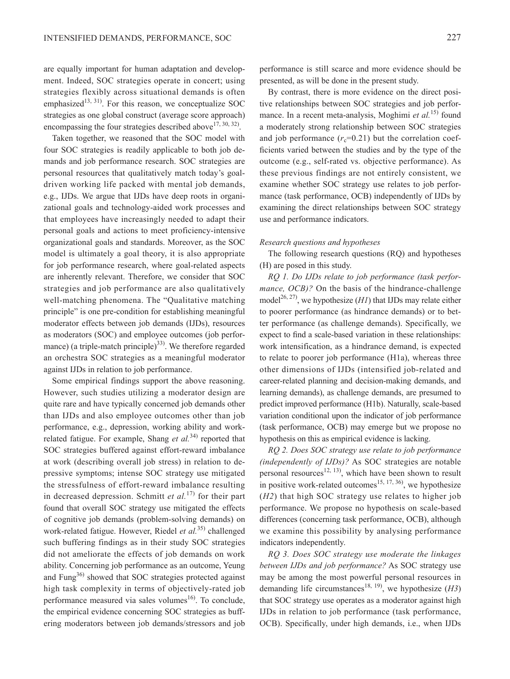are equally important for human adaptation and development. Indeed, SOC strategies operate in concert; using strategies flexibly across situational demands is often emphasized<sup>13, 31)</sup>. For this reason, we conceptualize SOC strategies as one global construct (average score approach) encompassing the four strategies described above  $(17, 30, 32)$ .

Taken together, we reasoned that the SOC model with four SOC strategies is readily applicable to both job demands and job performance research. SOC strategies are personal resources that qualitatively match today's goaldriven working life packed with mental job demands, e.g., IJDs. We argue that IJDs have deep roots in organizational goals and technology-aided work processes and that employees have increasingly needed to adapt their personal goals and actions to meet proficiency-intensive organizational goals and standards. Moreover, as the SOC model is ultimately a goal theory, it is also appropriate for job performance research, where goal-related aspects are inherently relevant. Therefore, we consider that SOC strategies and job performance are also qualitatively well-matching phenomena. The "Qualitative matching principle" is one pre-condition for establishing meaningful moderator effects between job demands (IJDs), resources as moderators (SOC) and employee outcomes (job perfor-mance) (a triple-match principle)<sup>[33](#page-13-8))</sup>. We therefore regarded an orchestra SOC strategies as a meaningful moderator against IJDs in relation to job performance.

Some empirical findings support the above reasoning. However, such studies utilizing a moderator design are quite rare and have typically concerned job demands other than IJDs and also employee outcomes other than job performance, e.g., depression, working ability and workrelated fatigue. For example, Shang *et al.*[34\)](#page-13-9) reported that SOC strategies buffered against effort-reward imbalance at work (describing overall job stress) in relation to depressive symptoms; intense SOC strategy use mitigated the stressfulness of effort-reward imbalance resulting in decreased depression. Schmitt *et al.*[17](#page-13-7)) for their part found that overall SOC strategy use mitigated the effects of cognitive job demands (problem-solving demands) on work-related fatigue. However, Riedel *et al.*[35\)](#page-13-10) challenged such buffering findings as in their study SOC strategies did not ameliorate the effects of job demands on work ability. Concerning job performance as an outcome, Yeung and Fung<sup>[36](#page-13-11))</sup> showed that SOC strategies protected against high task complexity in terms of objectively-rated job performance measured via sales volumes $^{16}$ . To conclude, the empirical evidence concerning SOC strategies as buffering moderators between job demands/stressors and job

performance is still scarce and more evidence should be presented, as will be done in the present study.

By contrast, there is more evidence on the direct positive relationships between SOC strategies and job performance. In a recent meta-analysis, Moghimi *et al.*[15\)](#page-12-12) found a moderately strong relationship between SOC strategies and job performance  $(r_c=0.21)$  but the correlation coefficients varied between the studies and by the type of the outcome (e.g., self-rated vs. objective performance). As these previous findings are not entirely consistent, we examine whether SOC strategy use relates to job performance (task performance, OCB) independently of IJDs by examining the direct relationships between SOC strategy use and performance indicators.

#### *Research questions and hypotheses*

The following research questions (RQ) and hypotheses (H) are posed in this study.

*RQ 1. Do IJDs relate to job performance (task performance, OCB)?* On the basis of the hindrance-challenge model<sup>26, 27</sup>, we hypothesize  $(HI)$  that IJDs may relate either to poorer performance (as hindrance demands) or to better performance (as challenge demands). Specifically, we expect to find a scale-based variation in these relationships: work intensification, as a hindrance demand, is expected to relate to poorer job performance (H1a), whereas three other dimensions of IJDs (intensified job-related and career-related planning and decision-making demands, and learning demands), as challenge demands, are presumed to predict improved performance (H1b). Naturally, scale-based variation conditional upon the indicator of job performance (task performance, OCB) may emerge but we propose no hypothesis on this as empirical evidence is lacking.

*RQ 2. Does SOC strategy use relate to job performance (independently of IJDs)?* As SOC strategies are notable personal resources<sup>12, 13)</sup>, which have been shown to result in positive work-related outcomes<sup>15, 17, 36</sup>, we hypothesize (*H2*) that high SOC strategy use relates to higher job performance. We propose no hypothesis on scale-based differences (concerning task performance, OCB), although we examine this possibility by analysing performance indicators independently.

*RQ 3. Does SOC strategy use moderate the linkages between IJDs and job performance?* As SOC strategy use may be among the most powerful personal resources in demanding life circumstances<sup>[18, 19](#page-13-0)</sup>, we hypothesize  $(H3)$ that SOC strategy use operates as a moderator against high IJDs in relation to job performance (task performance, OCB). Specifically, under high demands, i.e., when IJDs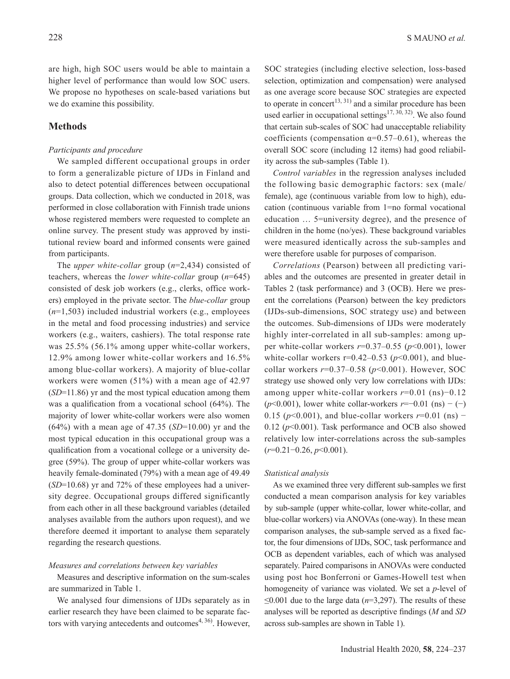are high, high SOC users would be able to maintain a

higher level of performance than would low SOC users. We propose no hypotheses on scale-based variations but we do examine this possibility.

# **Methods**

## *Participants and procedure*

We sampled different occupational groups in order to form a generalizable picture of IJDs in Finland and also to detect potential differences between occupational groups. Data collection, which we conducted in 2018, was performed in close collaboration with Finnish trade unions whose registered members were requested to complete an online survey. The present study was approved by institutional review board and informed consents were gained from participants.

The *upper white-collar* group (*n*=2,434) consisted of teachers, whereas the *lower white-collar* group (*n*=645) consisted of desk job workers (e.g., clerks, office workers) employed in the private sector. The *blue-collar* group (*n*=1,503) included industrial workers (e.g., employees in the metal and food processing industries) and service workers (e.g., waiters, cashiers). The total response rate was 25.5% (56.1% among upper white-collar workers, 12.9% among lower white-collar workers and 16.5% among blue-collar workers). A majority of blue-collar workers were women (51%) with a mean age of 42.97 (*SD*=11.86) yr and the most typical education among them was a qualification from a vocational school (64%). The majority of lower white-collar workers were also women (64%) with a mean age of 47.35 (*SD*=10.00) yr and the most typical education in this occupational group was a qualification from a vocational college or a university degree (59%). The group of upper white-collar workers was heavily female-dominated (79%) with a mean age of 49.49 (*SD*=10.68) yr and 72% of these employees had a university degree. Occupational groups differed significantly from each other in all these background variables (detailed analyses available from the authors upon request), and we therefore deemed it important to analyse them separately regarding the research questions.

#### *Measures and correlations between key variables*

Measures and descriptive information on the sum-scales are summarized in Table 1.

We analysed four dimensions of IJDs separately as in earlier research they have been claimed to be separate factors with varying antecedents and outcomes<sup> $4, 36$ </sup>. However, SOC strategies (including elective selection, loss-based selection, optimization and compensation) were analysed as one average score because SOC strategies are expected to operate in concert<sup>[13, 31](#page-12-11)</sup>) and a similar procedure has been used earlier in occupational settings<sup>[17, 30, 32\)](#page-13-7)</sup>. We also found that certain sub-scales of SOC had unacceptable reliability coefficients (compensation  $\alpha=0.57-0.61$ ), whereas the overall SOC score (including 12 items) had good reliability across the sub-samples (Table 1).

*Control variables* in the regression analyses included the following basic demographic factors: sex (male/ female), age (continuous variable from low to high), education (continuous variable from 1=no formal vocational education … 5=university degree), and the presence of children in the home (no/yes). These background variables were measured identically across the sub-samples and were therefore usable for purposes of comparison.

*Correlations* (Pearson) between all predicting variables and the outcomes are presented in greater detail in Tables 2 (task performance) and 3 (OCB). Here we present the correlations (Pearson) between the key predictors (IJDs-sub-dimensions, SOC strategy use) and between the outcomes. Sub-dimensions of IJDs were moderately highly inter-correlated in all sub-samples: among upper white-collar workers *r*=0.37–0.55 (*p*<0.001), lower white-collar workers  $r=0.42-0.53$  ( $p<0.001$ ), and bluecollar workers *r*=0.37–0.58 (*p*<0.001). However, SOC strategy use showed only very low correlations with IJDs: among upper white-collar workers *r*=0.01 (ns)−0.12 (*p*<0.001), lower white collar-workers *r*=−0.01 (ns) − (−) 0.15 (*p*<0.001), and blue-collar workers *r*=0.01 (ns) − 0.12 (*p*<0.001). Task performance and OCB also showed relatively low inter-correlations across the sub-samples (*r*=0.21−0.26, *p*<0.001).

#### *Statistical analysis*

As we examined three very different sub-samples we first conducted a mean comparison analysis for key variables by sub-sample (upper white-collar, lower white-collar, and blue-collar workers) via ANOVAs (one-way). In these mean comparison analyses, the sub-sample served as a fixed factor, the four dimensions of IJDs, SOC, task performance and OCB as dependent variables, each of which was analysed separately. Paired comparisons in ANOVAs were conducted using post hoc Bonferroni or Games-Howell test when homogeneity of variance was violated. We set a *p*-level of ≤0.001 due to the large data (*n*=3,297). The results of these analyses will be reported as descriptive findings (*M* and *SD* across sub-samples are shown in Table 1).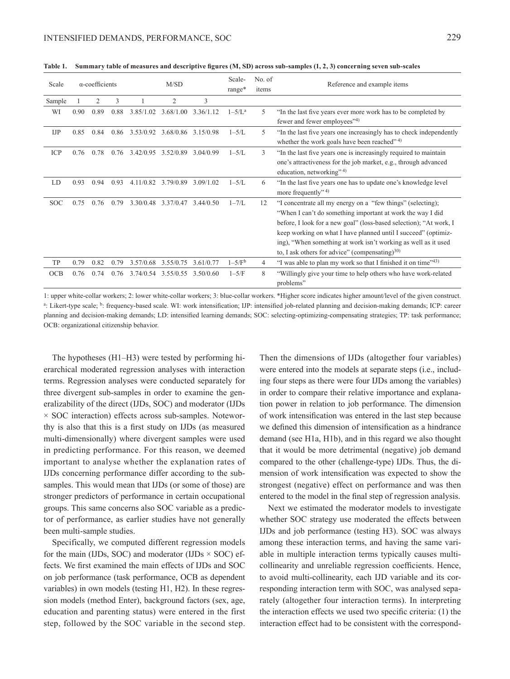| Scale      |      | $\alpha$ -coefficients |      |           | M/SD                          |           | Scale-<br>range*            | No. of<br>items | Reference and example items                                                                                                                                                                                                                                                                                                                                                                  |
|------------|------|------------------------|------|-----------|-------------------------------|-----------|-----------------------------|-----------------|----------------------------------------------------------------------------------------------------------------------------------------------------------------------------------------------------------------------------------------------------------------------------------------------------------------------------------------------------------------------------------------------|
| Sample     |      | 2                      | 3    |           | $\overline{2}$                | 3         |                             |                 |                                                                                                                                                                                                                                                                                                                                                                                              |
| WI         | 0.90 | 0.89                   | 0.88 | 3.85/1.02 | 3.68/1.00                     | 3.36/1.12 | $1 - 5/\Gamma$ <sup>a</sup> | 5               | "In the last five years ever more work has to be completed by<br>fewer and fewer employees"4)                                                                                                                                                                                                                                                                                                |
| <b>IJP</b> | 0.85 | 0.84                   | 0.86 |           | 3.53/0.92 3.68/0.86 3.15/0.98 |           | $1-5/L$                     | 5               | "In the last five years one increasingly has to check independently<br>whether the work goals have been reached" 4)                                                                                                                                                                                                                                                                          |
| ICP        | 0.76 | 0.78                   | 0.76 |           | 3.42/0.95 3.52/0.89           | 3.04/0.99 | $1-5/L$                     | 3               | "In the last five years one is increasingly required to maintain<br>one's attractiveness for the job market, e.g., through advanced<br>education, networking" <sup>4)</sup>                                                                                                                                                                                                                  |
| LD         | 0.93 | 0.94                   | 0.93 |           | 4.11/0.82 3.79/0.89           | 3.09/1.02 | $1-5/L$                     | 6               | "In the last five years one has to update one's knowledge level<br>more frequently" $4$ )                                                                                                                                                                                                                                                                                                    |
| <b>SOC</b> | 0.75 | 0.76                   | 0.79 | 3.30/0.48 | 3.37/0.47                     | 3.44/0.50 | $1 - 7/L$                   | 12              | "I concentrate all my energy on a "few things" (selecting);<br>"When I can't do something important at work the way I did<br>before, I look for a new goal" (loss-based selection); "At work, I<br>keep working on what I have planned until I succeed" (optimiz-<br>ing), "When something at work isn't working as well as it used<br>to, I ask others for advice" (compensating) $^{30}$ ) |
| TP         | 0.79 | 0.82                   | 0.79 | 3.57/0.68 | 3.55/0.75                     | 3.61/0.77 | $1-5/Fb$                    | 4               | "I was able to plan my work so that I finished it on time" 43)                                                                                                                                                                                                                                                                                                                               |
| <b>OCB</b> | 0.76 | 0.74                   | 0.76 |           | 3.74/0.54 3.55/0.55 3.50/0.60 |           | $1-5/F$                     | 8               | "Willingly give your time to help others who have work-related<br>problems"                                                                                                                                                                                                                                                                                                                  |

**Table 1. Summary table of measures and descriptive figures (M, SD) across sub-samples (1, 2, 3) concerning seven sub-scales**

1: upper white-collar workers; 2: lower white-collar workers; 3: blue-collar workers. \*Higher score indicates higher amount/level of the given construct. a: Likert-type scale; <sup>b</sup>: frequency-based scale. WI: work intensification; IJP: intensified job-related planning and decision-making demands; ICP: career planning and decision-making demands; LD: intensified learning demands; SOC: selecting-optimizing-compensating strategies; TP: task performance; OCB: organizational citizenship behavior.

The hypotheses (H1–H3) were tested by performing hierarchical moderated regression analyses with interaction terms. Regression analyses were conducted separately for three divergent sub-samples in order to examine the generalizability of the direct (IJDs, SOC) and moderator (IJDs  $\times$  SOC interaction) effects across sub-samples. Noteworthy is also that this is a first study on IJDs (as measured multi-dimensionally) where divergent samples were used in predicting performance. For this reason, we deemed important to analyse whether the explanation rates of IJDs concerning performance differ according to the subsamples. This would mean that IJDs (or some of those) are stronger predictors of performance in certain occupational groups. This same concerns also SOC variable as a predictor of performance, as earlier studies have not generally been multi-sample studies.

Specifically, we computed different regression models for the main (IJDs, SOC) and moderator (IJDs  $\times$  SOC) effects. We first examined the main effects of IJDs and SOC on job performance (task performance, OCB as dependent variables) in own models (testing H1, H2). In these regression models (method Enter), background factors (sex, age, education and parenting status) were entered in the first step, followed by the SOC variable in the second step.

Then the dimensions of IJDs (altogether four variables) were entered into the models at separate steps (i.e., including four steps as there were four IJDs among the variables) in order to compare their relative importance and explanation power in relation to job performance. The dimension of work intensification was entered in the last step because we defined this dimension of intensification as a hindrance demand (see H1a, H1b), and in this regard we also thought that it would be more detrimental (negative) job demand compared to the other (challenge-type) IJDs. Thus, the dimension of work intensification was expected to show the strongest (negative) effect on performance and was then entered to the model in the final step of regression analysis.

Next we estimated the moderator models to investigate whether SOC strategy use moderated the effects between IJDs and job performance (testing H3). SOC was always among these interaction terms, and having the same variable in multiple interaction terms typically causes multicollinearity and unreliable regression coefficients. Hence, to avoid multi-collinearity, each IJD variable and its corresponding interaction term with SOC, was analysed separately (altogether four interaction terms). In interpreting the interaction effects we used two specific criteria: (1) the interaction effect had to be consistent with the correspond-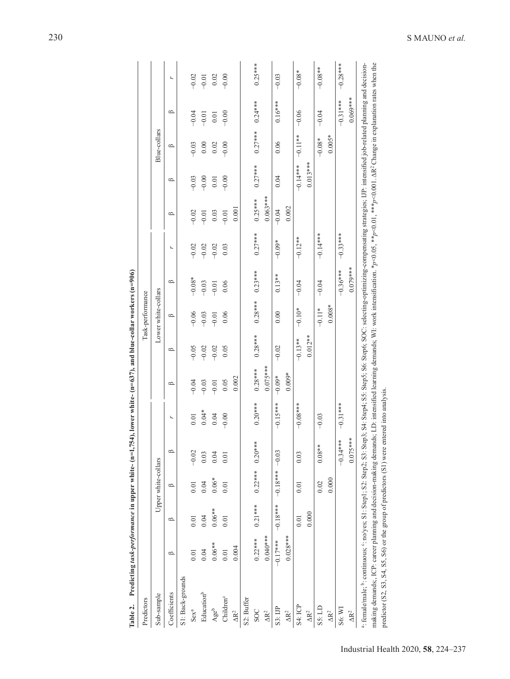| Table 2.                                                                                                                                                                                                                                                                                                                                                                                                                                                    | Predicting task-performance in upper white- (n=1,7 |            |                     |                    | 54), lower white- ( $n=637$ ), and blue-collar workers ( $n=906$ ) |            |           |                     |             |            |            |            |              |            |            |
|-------------------------------------------------------------------------------------------------------------------------------------------------------------------------------------------------------------------------------------------------------------------------------------------------------------------------------------------------------------------------------------------------------------------------------------------------------------|----------------------------------------------------|------------|---------------------|--------------------|--------------------------------------------------------------------|------------|-----------|---------------------|-------------|------------|------------|------------|--------------|------------|------------|
| Predictors                                                                                                                                                                                                                                                                                                                                                                                                                                                  |                                                    |            |                     |                    |                                                                    |            |           | Task-performance    |             |            |            |            |              |            |            |
| Sub-sample                                                                                                                                                                                                                                                                                                                                                                                                                                                  |                                                    |            | Upper white-collars |                    |                                                                    |            |           | Lower white-collars |             |            |            |            | Blue-collars |            |            |
| Coefficients                                                                                                                                                                                                                                                                                                                                                                                                                                                | $\circ$                                            | $\circ$    | $\circ$             | $\circ$            | r,                                                                 | $\circ$    | $\Omega$  | $\approx$           | $\triangle$ | r,         | $\circ$    | $\circ$    | $\circ$      | $\circ$    | r,         |
| S1: Back-grounds                                                                                                                                                                                                                                                                                                                                                                                                                                            |                                                    |            |                     |                    |                                                                    |            |           |                     |             |            |            |            |              |            |            |
| Sex <sup>a</sup>                                                                                                                                                                                                                                                                                                                                                                                                                                            | 0.01                                               | 0.01       | 0.01                | $-0.02$            | $0.01\,$                                                           | $-0.04$    | $-0.05$   | $-0.06$             | $-0.08*$    | $-0.02$    | $-0.02$    | $-0.03$    | $-0.03$      | $-0.04$    | $-0.02$    |
| Education <sup>b</sup>                                                                                                                                                                                                                                                                                                                                                                                                                                      | 0.04                                               | 0.04       | 0.04                | 0.03               | $0.04*$                                                            | $-0.03$    | $-0.02$   | $-0.03$             | $-0.03$     | $-0.02$    | $-0.01$    | $-0.00$    | 0.00         | $-0.01$    | $-0.01$    |
| Ageb                                                                                                                                                                                                                                                                                                                                                                                                                                                        | $0.06**$                                           | $0.06**$   | $0.06*$             | 0.04               | 0.04                                                               | $-0.01$    | $-0.02$   | $-0.01$             | $-0.01$     | $-0.02$    | 0.03       | 0.01       | 0.02         | 0.01       | 0.02       |
| Children <sup>c</sup>                                                                                                                                                                                                                                                                                                                                                                                                                                       | 0.01                                               | 0.01       | 0.01                | 0.01               | $-0.00$                                                            | 0.05       | 0.05      | 0.06                | 0.06        | 0.03       | $-0.01$    | $-0.00$    | $-0.00$      | $-0.00$    | $-0.00$    |
| $\Delta R^2$                                                                                                                                                                                                                                                                                                                                                                                                                                                | 0.004                                              |            |                     |                    |                                                                    | 0.002      |           |                     |             |            | 0.001      |            |              |            |            |
| S2: Buffer                                                                                                                                                                                                                                                                                                                                                                                                                                                  |                                                    |            |                     |                    |                                                                    |            |           |                     |             |            |            |            |              |            |            |
| <b>SOC</b>                                                                                                                                                                                                                                                                                                                                                                                                                                                  | $0.22***$                                          | $0.21***$  | $0.22***$           | ∗<br>$0.20**$      | $0.20***$                                                          | $0.28***$  | $0.28***$ | $0.28***$           | $0.23***$   | $0.27***$  | $0.25***$  | $0.27***$  | $0.27***$    | $0.24***$  | $0.25***$  |
| $\Delta R^2$                                                                                                                                                                                                                                                                                                                                                                                                                                                | $0.040***$                                         |            |                     |                    |                                                                    | $0.075***$ |           |                     |             |            | $0.063***$ |            |              |            |            |
| S3:IIP                                                                                                                                                                                                                                                                                                                                                                                                                                                      | $-0.17***$                                         | $-0.18***$ | $-0.18***$          | $-0.03$            | $-0.15***$                                                         | $-0.09*$   | $-0.02$   | 0.00                | $0.13**$    | $-0.09*$   | $-0.04$    | 0.04       | 0.06         | $0.16***$  | $-0.03$    |
| $\Delta R^2$                                                                                                                                                                                                                                                                                                                                                                                                                                                | $0.028***$                                         |            |                     |                    |                                                                    | $0.009*$   |           |                     |             |            | 0.002      |            |              |            |            |
| S <sub>4</sub> : ICP                                                                                                                                                                                                                                                                                                                                                                                                                                        |                                                    | 0.01       | 0.01                | 0.03               | $-0.08***$                                                         |            | $-0.13**$ | $-0.10*$            | $-0.04$     | $-0.12**$  |            | $-0.14***$ | $-0.11**$    | $-0.06$    | $-0.08*$   |
| $\Delta R^2$                                                                                                                                                                                                                                                                                                                                                                                                                                                |                                                    | 0.000      |                     |                    |                                                                    |            | $0.012**$ |                     |             |            |            | $0.013***$ |              |            |            |
| S <sub>5</sub> : LD                                                                                                                                                                                                                                                                                                                                                                                                                                         |                                                    |            | 0.02                | $0.08**$           | $-0.03$                                                            |            |           | $-0.11*$            | $-0.04$     | $-0.14***$ |            |            | $-0.08*$     | $-0.04$    | $-0.08**$  |
| $\Delta R^2$                                                                                                                                                                                                                                                                                                                                                                                                                                                |                                                    |            | 0.000               |                    |                                                                    |            |           | $0.008*$            |             |            |            |            | $0.005*$     |            |            |
| S6: WI                                                                                                                                                                                                                                                                                                                                                                                                                                                      |                                                    |            |                     | $-0.34***$         | $-0.31***$                                                         |            |           |                     | $-0.36***$  | $-0.33***$ |            |            |              | $-0.31***$ | $-0.28***$ |
| $\Delta R^2$                                                                                                                                                                                                                                                                                                                                                                                                                                                |                                                    |            |                     | $* *$<br>$0.075**$ |                                                                    |            |           |                     | $0.079***$  |            |            |            |              | $0.069***$ |            |
| making demands;, ICP: career planning and decision-making demands; LD: intensified learning demands; WI: work intensification. *p<0.05, **p<0.01, ***p<0.001. $\Delta R^2$ Change in explanation rates when the<br><sup>a</sup> : female/male; b: continuous; S: no/yes; S1: Step1; S2: Step4; S3: Step4; S4: Step4; S4: Step4; S5: Step5; S6: Step6; S0: Step6; S0: Step6; S0: Step6; S0: Step6; S0: Step6; S0: Step6; S9: Step5; S4: Step4; S5: Step6; S0 |                                                    |            |                     |                    |                                                                    |            |           |                     |             |            |            |            |              |            |            |
| predictor (S2, S3, S4, S5, S6) or the group of predictors (S1) were                                                                                                                                                                                                                                                                                                                                                                                         |                                                    |            |                     |                    | entered into analysis.                                             |            |           |                     |             |            |            |            |              |            |            |

|                | l                                      |
|----------------|----------------------------------------|
|                |                                        |
|                |                                        |
|                |                                        |
|                | i                                      |
|                |                                        |
|                |                                        |
|                |                                        |
|                |                                        |
|                |                                        |
|                |                                        |
| ;              |                                        |
|                |                                        |
|                |                                        |
|                |                                        |
|                | í                                      |
|                |                                        |
| $\frac{1}{1}$  |                                        |
|                |                                        |
|                |                                        |
|                |                                        |
|                |                                        |
| İ              |                                        |
| i              | ֖֖֖֖֚֚֚֚֚֚֬                            |
|                |                                        |
|                | I                                      |
|                |                                        |
|                |                                        |
|                |                                        |
|                |                                        |
|                |                                        |
|                |                                        |
|                |                                        |
|                |                                        |
|                |                                        |
|                |                                        |
|                |                                        |
|                |                                        |
|                |                                        |
|                |                                        |
| $\overline{a}$ |                                        |
|                | l                                      |
|                | l<br>l                                 |
|                |                                        |
|                |                                        |
|                |                                        |
|                |                                        |
|                |                                        |
|                |                                        |
|                |                                        |
|                |                                        |
|                |                                        |
|                |                                        |
|                |                                        |
|                |                                        |
|                |                                        |
|                |                                        |
|                |                                        |
|                |                                        |
|                |                                        |
|                |                                        |
|                |                                        |
|                |                                        |
|                |                                        |
|                |                                        |
|                |                                        |
|                |                                        |
|                |                                        |
|                |                                        |
|                |                                        |
|                |                                        |
|                | ׇ֠֞                                    |
|                |                                        |
|                |                                        |
|                |                                        |
|                |                                        |
|                |                                        |
|                |                                        |
| l              | l                                      |
|                |                                        |
|                |                                        |
|                |                                        |
|                | l                                      |
|                | l                                      |
|                |                                        |
| :<br>E         | $4ab$ <sup><math>\epsilon</math></sup> |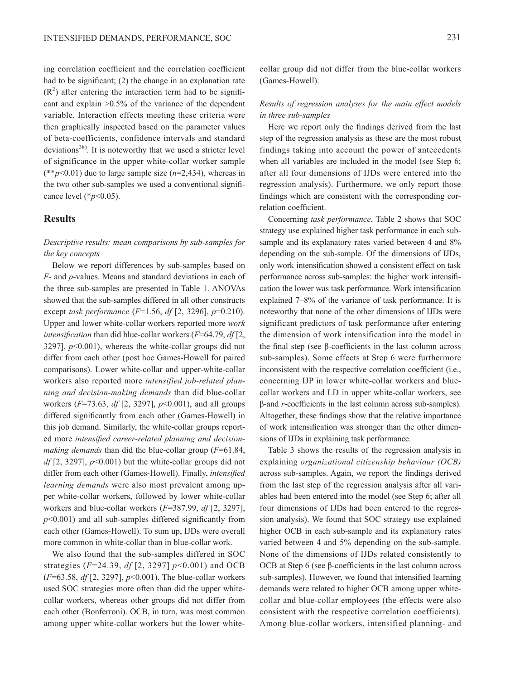ing correlation coefficient and the correlation coefficient had to be significant; (2) the change in an explanation rate  $(R<sup>2</sup>)$  after entering the interaction term had to be significant and explain >0.5% of the variance of the dependent variable. Interaction effects meeting these criteria were then graphically inspected based on the parameter values of beta-coefficients, confidence intervals and standard deviations<sup>38)</sup>. It is noteworthy that we used a stricter level of significance in the upper white-collar worker sample  $(*p<0.01)$  due to large sample size  $(n=2,434)$ , whereas in the two other sub-samples we used a conventional significance level (\**p*<0.05).

## **Results**

## *Descriptive results: mean comparisons by sub-samples for the key concepts*

Below we report differences by sub-samples based on *F*- and *p*-values. Means and standard deviations in each of the three sub-samples are presented in Table 1. ANOVAs showed that the sub-samples differed in all other constructs except *task performance* (*F*=1.56, *df* [2, 3296], *p*=0.210). Upper and lower white-collar workers reported more *work intensification* than did blue-collar workers (*F*=64.79, *df* [2, 3297], *p*<0.001), whereas the white-collar groups did not differ from each other (post hoc Games-Howell for paired comparisons). Lower white-collar and upper-white-collar workers also reported more *intensified job-related planning and decision-making demands* than did blue-collar workers (*F*=73.63, *df* [2, 3297], *p*<0.001), and all groups differed significantly from each other (Games-Howell) in this job demand. Similarly, the white-collar groups reported more *intensified career-related planning and decisionmaking demands* than did the blue-collar group (*F*=61.84, *df* [2, 3297], *p*<0.001) but the white-collar groups did not differ from each other (Games-Howell). Finally, *intensified learning demands* were also most prevalent among upper white-collar workers, followed by lower white-collar workers and blue-collar workers (*F*=387.99, *df* [2, 3297], *p*<0.001) and all sub-samples differed significantly from each other (Games-Howell). To sum up, IJDs were overall more common in white-collar than in blue-collar work.

We also found that the sub-samples differed in SOC strategies (*F*=24.39, *df* [2, 3297] *p*<0.001) and OCB (*F*=63.58, *df* [2, 3297], *p*<0.001). The blue-collar workers used SOC strategies more often than did the upper whitecollar workers, whereas other groups did not differ from each other (Bonferroni). OCB, in turn, was most common among upper white-collar workers but the lower white-

## *Results of regression analyses for the main effect models in three sub-samples*

Here we report only the findings derived from the last step of the regression analysis as these are the most robust findings taking into account the power of antecedents when all variables are included in the model (see Step 6; after all four dimensions of IJDs were entered into the regression analysis). Furthermore, we only report those findings which are consistent with the corresponding correlation coefficient.

Concerning *task performance*, Table 2 shows that SOC strategy use explained higher task performance in each subsample and its explanatory rates varied between 4 and  $8\%$ depending on the sub-sample. Of the dimensions of IJDs, only work intensification showed a consistent effect on task performance across sub-samples: the higher work intensification the lower was task performance. Work intensification explained 7–8% of the variance of task performance. It is noteworthy that none of the other dimensions of IJDs were significant predictors of task performance after entering the dimension of work intensification into the model in the final step (see β-coefficients in the last column across sub-samples). Some effects at Step 6 were furthermore inconsistent with the respective correlation coefficient (i.e., concerning IJP in lower white-collar workers and bluecollar workers and LD in upper white-collar workers, see β-and *r*-coefficients in the last column across sub-samples). Altogether, these findings show that the relative importance of work intensification was stronger than the other dimensions of IJDs in explaining task performance.

Table 3 shows the results of the regression analysis in explaining *organizational citizenship behaviour (OCB)* across sub-samples. Again, we report the findings derived from the last step of the regression analysis after all variables had been entered into the model (see Step 6; after all four dimensions of IJDs had been entered to the regression analysis). We found that SOC strategy use explained higher OCB in each sub-sample and its explanatory rates varied between 4 and 5% depending on the sub-sample. None of the dimensions of IJDs related consistently to OCB at Step 6 (see β-coefficients in the last column across sub-samples). However, we found that intensified learning demands were related to higher OCB among upper whitecollar and blue-collar employees (the effects were also consistent with the respective correlation coefficients). Among blue-collar workers, intensified planning- and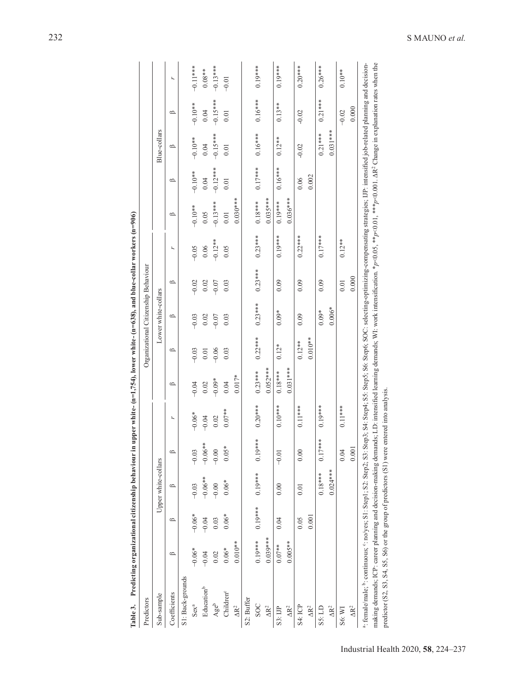| Table 3.                                                                                                                                                                                                                                                                                                                                                                                                                                                                                                                      | Predicting organizational citizenship behaviour in |           |                     |             |           | upper white- $(n=1,754)$ , lower white- $(n=638)$ , and blue-collar workers $(n=906)$ |                                      |                     |           |           |            |            |              |            |            |
|-------------------------------------------------------------------------------------------------------------------------------------------------------------------------------------------------------------------------------------------------------------------------------------------------------------------------------------------------------------------------------------------------------------------------------------------------------------------------------------------------------------------------------|----------------------------------------------------|-----------|---------------------|-------------|-----------|---------------------------------------------------------------------------------------|--------------------------------------|---------------------|-----------|-----------|------------|------------|--------------|------------|------------|
| Predictors                                                                                                                                                                                                                                                                                                                                                                                                                                                                                                                    |                                                    |           |                     |             |           |                                                                                       | Organizational Citizenship Behaviour |                     |           |           |            |            |              |            |            |
| Sub-sample                                                                                                                                                                                                                                                                                                                                                                                                                                                                                                                    |                                                    |           | Upper white-collars |             |           |                                                                                       |                                      | Lower white-collars |           |           |            |            | Blue-collars |            |            |
| Coefficients                                                                                                                                                                                                                                                                                                                                                                                                                                                                                                                  | $\circ$                                            | $\circ$   | $\circ$             | $\triangle$ | r.        | $\circ$                                                                               | $\circ$                              | $\circ$             | $\circ$   | r         | $\circ$    | $\circ$    | $\circ$      | $\circ$    | r.         |
| S1: Back-grounds                                                                                                                                                                                                                                                                                                                                                                                                                                                                                                              |                                                    |           |                     |             |           |                                                                                       |                                      |                     |           |           |            |            |              |            |            |
| $Sex^a$                                                                                                                                                                                                                                                                                                                                                                                                                                                                                                                       | $-0.06*$                                           | $-0.06*$  | $-0.03$             | $-0.03$     | $-0.06*$  | $-0.04$                                                                               | $-0.03$                              | $-0.03$             | $-0.02$   | $-0.05$   | $-0.10$ ** | $-6.10$    | $-0.10**$    | $-0.10**$  | $-0.11**$  |
| Educationb                                                                                                                                                                                                                                                                                                                                                                                                                                                                                                                    | $-0.04$                                            | $-0.04$   | $-0.06**$           | $-0.06**$   | $-0.04$   | 0.02                                                                                  | 0.01                                 | 0.02                | 0.02      | 0.06      | 0.05       | 0.04       | 0.04         | 0.04       | $0.08**$   |
| Ageb                                                                                                                                                                                                                                                                                                                                                                                                                                                                                                                          | 0.02                                               | 0.03      | $-0.00$             | $-0.00$     | 0.02      | $-0.09*$                                                                              | $-0.06$                              | $-0.07$             | $-0.07$   | $-0.12**$ | $-0.13***$ | $-0.12***$ | $-0.15***$   | $-0.15***$ | $-0.13***$ |
| Children <sup>c</sup>                                                                                                                                                                                                                                                                                                                                                                                                                                                                                                         | $0.06*$                                            | $0.06*$   | $0.06*$             | $0.05*$     | $0.07**$  | 0.04                                                                                  | 0.03                                 | 0.03                | 0.03      | 0.05      | 0.01       | 0.01       | 0.01         | 0.01       | $-0.01$    |
| $\Delta R^2$                                                                                                                                                                                                                                                                                                                                                                                                                                                                                                                  | $0.010**$                                          |           |                     |             |           | $0.017*$                                                                              |                                      |                     |           |           | $0.030***$ |            |              |            |            |
| S <sub>2</sub> : Buffer                                                                                                                                                                                                                                                                                                                                                                                                                                                                                                       |                                                    |           |                     |             |           |                                                                                       |                                      |                     |           |           |            |            |              |            |            |
| <b>SOC</b>                                                                                                                                                                                                                                                                                                                                                                                                                                                                                                                    | $0.19***$                                          | $0.19***$ | $0.19***$           | $0.19***$   | $0.20***$ | $0.23***$                                                                             | $0.22***$                            | $0.23***$           | $0.23***$ | $0.23***$ | $0.18***$  | $0.17***$  | $0.16***$    | $0.16***$  | $0.19***$  |
| $\Delta R^2$                                                                                                                                                                                                                                                                                                                                                                                                                                                                                                                  | $0.039***$                                         |           |                     |             |           | $0.052***$                                                                            |                                      |                     |           |           | $0.035***$ |            |              |            |            |
| S3: LIP                                                                                                                                                                                                                                                                                                                                                                                                                                                                                                                       | $0.07**$                                           | 0.04      | 0.00                | $-0.01$     | $0.10***$ | $0.18***$                                                                             | $0.12*$                              | $0.09*$             | 0.09      | $0.19***$ | $0.19***$  | $0.16***$  | $0.12***$    | $0.13***$  | $0.19***$  |
| $\Delta R^2$                                                                                                                                                                                                                                                                                                                                                                                                                                                                                                                  | $0.005**$                                          |           |                     |             |           | $0.031***$                                                                            |                                      |                     |           |           | $0.036***$ |            |              |            |            |
| <b>S4: ICP</b>                                                                                                                                                                                                                                                                                                                                                                                                                                                                                                                |                                                    | 0.05      | 0.01                | 0.00        | $0.11***$ |                                                                                       | $0.12***$                            | 0.09                | 0.09      | $0.22***$ |            | 0.06       | $-0.02$      | $-0.02$    | $0.20***$  |
| $\Delta R^2$                                                                                                                                                                                                                                                                                                                                                                                                                                                                                                                  |                                                    | 0.001     |                     |             |           |                                                                                       | $0.010**$                            |                     |           |           |            | 0.002      |              |            |            |
| S5: LD                                                                                                                                                                                                                                                                                                                                                                                                                                                                                                                        |                                                    |           | $0.18***$           | $0.17***$   | $0.19***$ |                                                                                       |                                      | $0.09*$             | 0.09      | $0.17***$ |            |            | $0.21***$    | $0.21***$  | $0.26***$  |
| $\Delta R^2$                                                                                                                                                                                                                                                                                                                                                                                                                                                                                                                  |                                                    |           | $0.024***$          |             |           |                                                                                       |                                      | $0.006*$            |           |           |            |            | $0.031***$   |            |            |
| S6: WI                                                                                                                                                                                                                                                                                                                                                                                                                                                                                                                        |                                                    |           |                     | 0.04        | $0.11***$ |                                                                                       |                                      |                     | 0.01      | $0.12**$  |            |            |              | $-0.02$    | $0.10**$   |
| $\Delta R^2$                                                                                                                                                                                                                                                                                                                                                                                                                                                                                                                  |                                                    |           |                     | 0.001       |           |                                                                                       |                                      |                     | 0.000     |           |            |            |              | 0.000      |            |
| 4. female/male; b: continuous; cno/yes; S1: Step2; S3: Step2; S3: Step4; S4: Step4; S4: Step5; S6: Step6; SOC: selecting-optimizing-compensating strategies; IP: intensified job-related plaming and decision-<br>making demands; ICP: career planning and decision-making demands; LD: intensified learning demands; WI: work intensification. *p<0.05, **p<0.01, ***p<0.01. $\Delta R^2$ Change in explanation rates when the<br>predictor (S2, S3, S4, S5, S6) or the group of predictors (S1) were entered into analysis. |                                                    |           |                     |             |           |                                                                                       |                                      |                     |           |           |            |            |              |            |            |
|                                                                                                                                                                                                                                                                                                                                                                                                                                                                                                                               |                                                    |           |                     |             |           |                                                                                       |                                      |                     |           |           |            |            |              |            |            |

232 S MAUNO *et al.*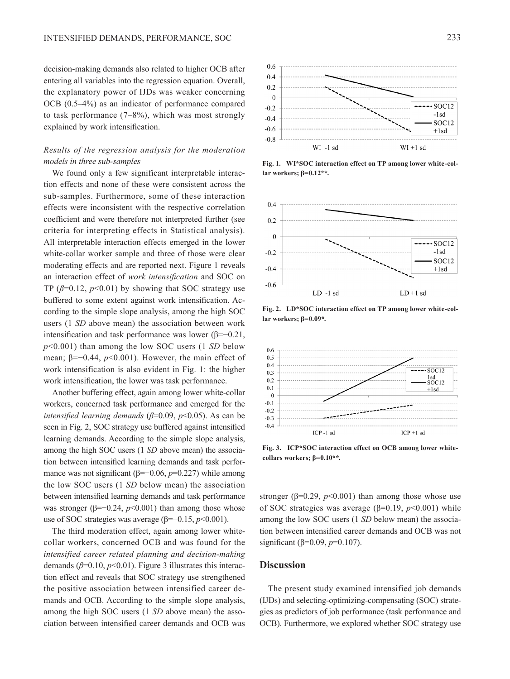decision-making demands also related to higher OCB after entering all variables into the regression equation. Overall, the explanatory power of IJDs was weaker concerning OCB (0.5–4%) as an indicator of performance compared to task performance  $(7-8\%)$ , which was most strongly explained by work intensification.

# *Results of the regression analysis for the moderation models in three sub-samples*

We found only a few significant interpretable interaction effects and none of these were consistent across the sub-samples. Furthermore, some of these interaction effects were inconsistent with the respective correlation coefficient and were therefore not interpreted further (see criteria for interpreting effects in Statistical analysis). All interpretable interaction effects emerged in the lower white-collar worker sample and three of those were clear moderating effects and are reported next. Figure 1 reveals an interaction effect of *work intensification* and SOC on TP  $(\beta=0.12, p<0.01)$  by showing that SOC strategy use buffered to some extent against work intensification. According to the simple slope analysis, among the high SOC users (1 *SD* above mean) the association between work intensification and task performance was lower (β=−0.21, *p*<0.001) than among the low SOC users (1 *SD* below mean; β=−0.44, *p*<0.001). However, the main effect of work intensification is also evident in Fig. 1: the higher work intensification, the lower was task performance.

Another buffering effect, again among lower white-collar workers, concerned task performance and emerged for the *intensified learning demands* (*β*=0.09, *p*<0.05). As can be seen in Fig. 2, SOC strategy use buffered against intensified learning demands. According to the simple slope analysis, among the high SOC users (1 *SD* above mean) the association between intensified learning demands and task performance was not significant (β=−0.06, *p*=0.227) while among the low SOC users (1 *SD* below mean) the association between intensified learning demands and task performance was stronger ( $\beta$ =−0.24,  $p$ <0.001) than among those whose use of SOC strategies was average (β=−0.15, *p*<0.001).

The third moderation effect, again among lower whitecollar workers, concerned OCB and was found for the *intensified career related planning and decision-making* demands ( $\beta$ =0.10,  $p$ <0.01). Figure 3 illustrates this interaction effect and reveals that SOC strategy use strengthened the positive association between intensified career demands and OCB. According to the simple slope analysis, among the high SOC users (1 *SD* above mean) the association between intensified career demands and OCB was



**Fig. 1. WI\*SOC interaction effect on TP among lower white-collar workers; β=0.12\*\*.**



**Fig. 2. LD\*SOC interaction effect on TP among lower white-collar workers; β=0.09\*.**



**Fig. 3. ICP\*SOC interaction effect on OCB among lower whitecollars workers; β=0.10\*\*.**

stronger ( $\beta$ =0.29,  $p$ <0.001) than among those whose use of SOC strategies was average (β=0.19, *p*<0.001) while among the low SOC users (1 *SD* below mean) the association between intensified career demands and OCB was not significant (β=0.09, *p*=0.107).

#### **Discussion**

The present study examined intensified job demands (IJDs) and selecting-optimizing-compensating (SOC) strategies as predictors of job performance (task performance and OCB). Furthermore, we explored whether SOC strategy use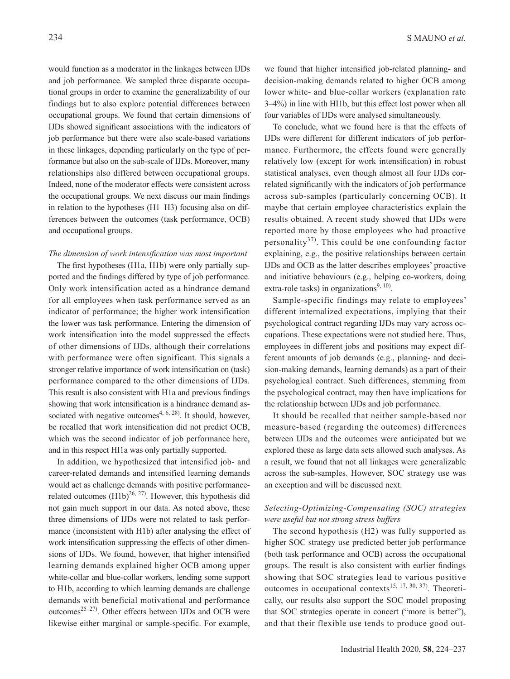would function as a moderator in the linkages between IJDs and job performance. We sampled three disparate occupational groups in order to examine the generalizability of our findings but to also explore potential differences between occupational groups. We found that certain dimensions of IJDs showed significant associations with the indicators of job performance but there were also scale-based variations in these linkages, depending particularly on the type of performance but also on the sub-scale of IJDs. Moreover, many relationships also differed between occupational groups. Indeed, none of the moderator effects were consistent across the occupational groups. We next discuss our main findings in relation to the hypotheses (H1–H3) focusing also on differences between the outcomes (task performance, OCB) and occupational groups.

#### *The dimension of work intensification was most important*

The first hypotheses (H1a, H1b) were only partially supported and the findings differed by type of job performance. Only work intensification acted as a hindrance demand for all employees when task performance served as an indicator of performance; the higher work intensification the lower was task performance. Entering the dimension of work intensification into the model suppressed the effects of other dimensions of IJDs, although their correlations with performance were often significant. This signals a stronger relative importance of work intensification on (task) performance compared to the other dimensions of IJDs. This result is also consistent with H1a and previous findings showing that work intensification is a hindrance demand associated with negative outcomes<sup>4,  $6$ ,  $28$ ). It should, however,</sup> be recalled that work intensification did not predict OCB, which was the second indicator of job performance here, and in this respect HI1a was only partially supported.

In addition, we hypothesized that intensified job- and career-related demands and intensified learning demands would act as challenge demands with positive performancerelated outcomes  $(H1b)^{26, 27}$  $(H1b)^{26, 27}$  $(H1b)^{26, 27}$ . However, this hypothesis did not gain much support in our data. As noted above, these three dimensions of IJDs were not related to task performance (inconsistent with H1b) after analysing the effect of work intensification suppressing the effects of other dimensions of IJDs. We found, however, that higher intensified learning demands explained higher OCB among upper white-collar and blue-collar workers, lending some support to H1b, according to which learning demands are challenge demands with beneficial motivational and performance outcomes<sup>25–27)</sup>. Other effects between IJDs and OCB were likewise either marginal or sample-specific. For example,

we found that higher intensified job-related planning- and decision-making demands related to higher OCB among lower white- and blue-collar workers (explanation rate 3–4%) in line with HI1b, but this effect lost power when all four variables of IJDs were analysed simultaneously.

To conclude, what we found here is that the effects of IJDs were different for different indicators of job performance. Furthermore, the effects found were generally relatively low (except for work intensification) in robust statistical analyses, even though almost all four IJDs correlated significantly with the indicators of job performance across sub-samples (particularly concerning OCB). It maybe that certain employee characteristics explain the results obtained. A recent study showed that IJDs were reported more by those employees who had proactive personality<sup>[37\)](#page-13-14)</sup>. This could be one confounding factor explaining, e.g., the positive relationships between certain IJDs and OCB as the latter describes employees' proactive and initiative behaviours (e.g., helping co-workers, doing extra-role tasks) in organizations<sup>9, 10</sup>.

Sample-specific findings may relate to employees' different internalized expectations, implying that their psychological contract regarding IJDs may vary across occupations. These expectations were not studied here. Thus, employees in different jobs and positions may expect different amounts of job demands (e.g., planning- and decision-making demands, learning demands) as a part of their psychological contract. Such differences, stemming from the psychological contract, may then have implications for the relationship between IJDs and job performance.

It should be recalled that neither sample-based nor measure-based (regarding the outcomes) differences between IJDs and the outcomes were anticipated but we explored these as large data sets allowed such analyses. As a result, we found that not all linkages were generalizable across the sub-samples. However, SOC strategy use was an exception and will be discussed next.

# *Selecting-Optimizing-Compensating (SOC) strategies were useful but not strong stress buffers*

The second hypothesis (H2) was fully supported as higher SOC strategy use predicted better job performance (both task performance and OCB) across the occupational groups. The result is also consistent with earlier findings showing that SOC strategies lead to various positive outcomes in occupational contexts<sup>[15, 17, 30, 37](#page-12-12))</sup>. Theoretically, our results also support the SOC model proposing that SOC strategies operate in concert ("more is better"), and that their flexible use tends to produce good out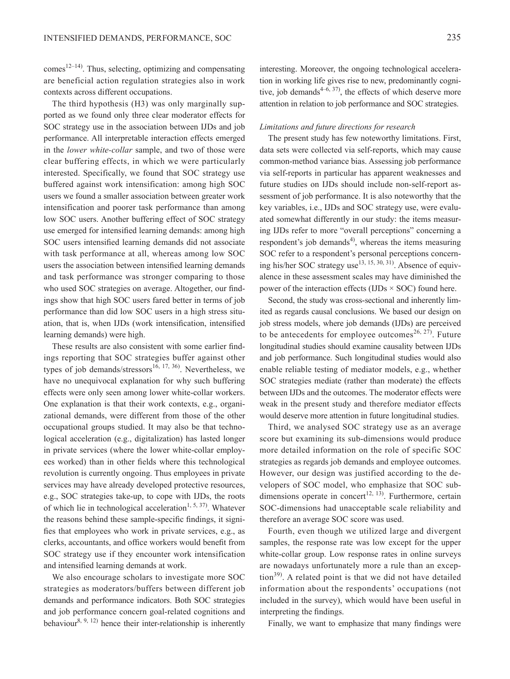$comes<sup>12–14</sup>$  $comes<sup>12–14</sup>$  $comes<sup>12–14</sup>$ . Thus, selecting, optimizing and compensating are beneficial action regulation strategies also in work contexts across different occupations.

The third hypothesis (H3) was only marginally supported as we found only three clear moderator effects for SOC strategy use in the association between IJDs and job performance. All interpretable interaction effects emerged in the *lower white-collar* sample, and two of those were clear buffering effects, in which we were particularly interested. Specifically, we found that SOC strategy use buffered against work intensification: among high SOC users we found a smaller association between greater work intensification and poorer task performance than among low SOC users. Another buffering effect of SOC strategy use emerged for intensified learning demands: among high SOC users intensified learning demands did not associate with task performance at all, whereas among low SOC users the association between intensified learning demands and task performance was stronger comparing to those who used SOC strategies on average. Altogether, our findings show that high SOC users fared better in terms of job performance than did low SOC users in a high stress situation, that is, when IJDs (work intensification, intensified learning demands) were high.

These results are also consistent with some earlier findings reporting that SOC strategies buffer against other types of job demands/stressors<sup>16, 17, 36</sup>. Nevertheless, we have no unequivocal explanation for why such buffering effects were only seen among lower white-collar workers. One explanation is that their work contexts, e.g., organizational demands, were different from those of the other occupational groups studied. It may also be that technological acceleration (e.g., digitalization) has lasted longer in private services (where the lower white-collar employees worked) than in other fields where this technological revolution is currently ongoing. Thus employees in private services may have already developed protective resources, e.g., SOC strategies take-up, to cope with IJDs, the roots of which lie in technological acceleration<sup>1, 5, 37)</sup>. Whatever the reasons behind these sample-specific findings, it signifies that employees who work in private services, e.g., as clerks, accountants, and office workers would benefit from SOC strategy use if they encounter work intensification and intensified learning demands at work.

We also encourage scholars to investigate more SOC strategies as moderators/buffers between different job demands and performance indicators. Both SOC strategies and job performance concern goal-related cognitions and behaviour<sup>8, 9, 12)</sup> hence their inter-relationship is inherently

interesting. Moreover, the ongoing technological acceleration in working life gives rise to new, predominantly cognitive, job demands $4-6$ ,  $37$ ), the effects of which deserve more attention in relation to job performance and SOC strategies.

#### *Limitations and future directions for research*

The present study has few noteworthy limitations. First, data sets were collected via self-reports, which may cause common-method variance bias. Assessing job performance via self-reports in particular has apparent weaknesses and future studies on IJDs should include non-self-report assessment of job performance. It is also noteworthy that the key variables, i.e., IJDs and SOC strategy use, were evaluated somewhat differently in our study: the items measuring IJDs refer to more "overall perceptions" concerning a respondent's job demands<sup>[4](#page-12-2))</sup>, whereas the items measuring SOC refer to a respondent's personal perceptions concerning his/her SOC strategy use $^{13, 15, 30, 31}$ . Absence of equivalence in these assessment scales may have diminished the power of the interaction effects (IJDs  $\times$  SOC) found here.

Second, the study was cross-sectional and inherently limited as regards causal conclusions. We based our design on job stress models, where job demands (IJDs) are perceived to be antecedents for employee outcomes<sup>[26, 27](#page-13-4))</sup>. Future longitudinal studies should examine causality between IJDs and job performance. Such longitudinal studies would also enable reliable testing of mediator models, e.g., whether SOC strategies mediate (rather than moderate) the effects between IJDs and the outcomes. The moderator effects were weak in the present study and therefore mediator effects would deserve more attention in future longitudinal studies.

Third, we analysed SOC strategy use as an average score but examining its sub-dimensions would produce more detailed information on the role of specific SOC strategies as regards job demands and employee outcomes. However, our design was justified according to the developers of SOC model, who emphasize that SOC subdimensions operate in concert<sup>12, 13</sup>). Furthermore, certain SOC-dimensions had unacceptable scale reliability and therefore an average SOC score was used.

Fourth, even though we utilized large and divergent samples, the response rate was low except for the upper white-collar group. Low response rates in online surveys are nowadays unfortunately more a rule than an excep- $\frac{1}{2}$ . A related point is that we did not have detailed information about the respondents' occupations (not included in the survey), which would have been useful in interpreting the findings.

Finally, we want to emphasize that many findings were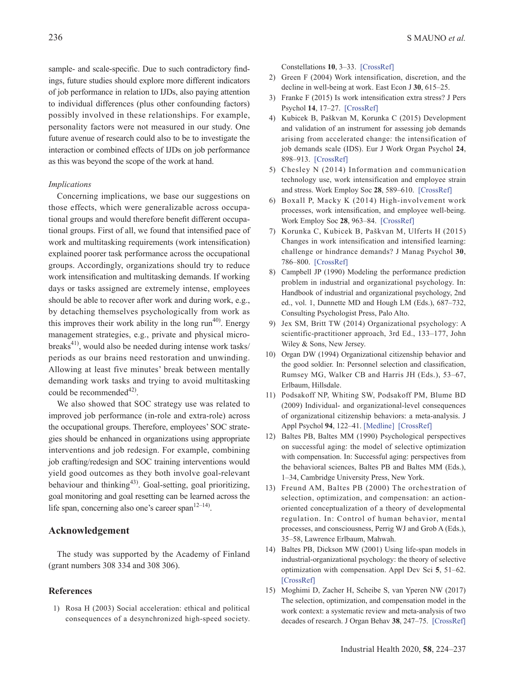sample- and scale-specific. Due to such contradictory findings, future studies should explore more different indicators of job performance in relation to IJDs, also paying attention to individual differences (plus other confounding factors) possibly involved in these relationships. For example, personality factors were not measured in our study. One future avenue of research could also to be to investigate the interaction or combined effects of IJDs on job performance as this was beyond the scope of the work at hand.

#### *Implications*

Concerning implications, we base our suggestions on those effects, which were generalizable across occupational groups and would therefore benefit different occupational groups. First of all, we found that intensified pace of work and multitasking requirements (work intensification) explained poorer task performance across the occupational groups. Accordingly, organizations should try to reduce work intensification and multitasking demands. If working days or tasks assigned are extremely intense, employees should be able to recover after work and during work, e.g., by detaching themselves psychologically from work as this improves their work ability in the long  $run^{40}$ . Energy management strategies, e.g., private and physical micro-breaks<sup>[41\)](#page-13-17)</sup>, would also be needed during intense work tasks/ periods as our brains need restoration and unwinding. Allowing at least five minutes' break between mentally demanding work tasks and trying to avoid multitasking could be recommended $^{42}$ .

We also showed that SOC strategy use was related to improved job performance (in-role and extra-role) across the occupational groups. Therefore, employees' SOC strategies should be enhanced in organizations using appropriate interventions and job redesign. For example, combining job crafting/redesign and SOC training interventions would yield good outcomes as they both involve goal-relevant behaviour and thinking<sup>[43](#page-13-19))</sup>. Goal-setting, goal prioritizing, goal monitoring and goal resetting can be learned across the life span, concerning also one's career span $12-14$ .

## **Acknowledgement**

The study was supported by the Academy of Finland (grant numbers 308 334 and 308 306).

#### **References**

<span id="page-12-0"></span>1) Rosa H (2003) Social acceleration: ethical and political consequences of a desynchronized high-speed society.

Constellations **10**, 3–33. [\[CrossRef\]](http://dx.doi.org/10.1111/1467-8675.00309)

- <span id="page-12-1"></span>2) Green F (2004) Work intensification, discretion, and the decline in well-being at work. East Econ J **30**, 615–25.
- <span id="page-12-3"></span>3) Franke F (2015) Is work intensification extra stress? J Pers Psychol **14**, 17–27. [\[CrossRef\]](http://dx.doi.org/10.1027/1866-5888/a000120)
- <span id="page-12-2"></span>4) Kubicek B, Paškvan M, Korunka C (2015) Development and validation of an instrument for assessing job demands arising from accelerated change: the intensification of job demands scale (IDS). Eur J Work Organ Psychol **24**, 898–913. [\[CrossRef\]](http://dx.doi.org/10.1080/1359432X.2014.979160)
- 5) Chesley N (2014) Information and communication technology use, work intensification and employee strain and stress. Work Employ Soc **28**, 589–610. [\[CrossRef\]](http://dx.doi.org/10.1177/0950017013500112)
- <span id="page-12-9"></span>6) Boxall P, Macky K (2014) High-involvement work processes, work intensification, and employee well-being. Work Employ Soc **28**, 963–84. [\[CrossRef\]](http://dx.doi.org/10.1177/0950017013512714)
- <span id="page-12-10"></span>7) Korunka C, Kubicek B, Paškvan M, Ulferts H (2015) Changes in work intensification and intensified learning: challenge or hindrance demands? J Manag Psychol **30**, 786–800. [\[CrossRef\]](http://dx.doi.org/10.1108/JMP-02-2013-0065)
- <span id="page-12-4"></span>8) Campbell JP (1990) Modeling the performance prediction problem in industrial and organizational psychology. In: Handbook of industrial and organizational psychology, 2nd ed., vol. 1, Dunnette MD and Hough LM (Eds.), 687–732, Consulting Psychologist Press, Palo Alto.
- <span id="page-12-6"></span>9) Jex SM, Britt TW (2014) Organizational psychology: A scientific-practitioner approach, 3rd Ed., 133–177, John Wiley & Sons, New Jersey.
- <span id="page-12-5"></span>10) Organ DW (1994) Organizational citizenship behavior and the good soldier. In: Personnel selection and classification, Rumsey MG, Walker CB and Harris JH (Eds.), 53–67, Erlbaum, Hillsdale.
- 11) Podsakoff NP, Whiting SW, Podsakoff PM, Blume BD (2009) Individual- and organizational-level consequences of organizational citizenship behaviors: a meta-analysis. J Appl Psychol **94**, 122–41. [\[Medline\]](http://www.ncbi.nlm.nih.gov/pubmed/19186900?dopt=Abstract) [\[CrossRef\]](http://dx.doi.org/10.1037/a0013079)
- <span id="page-12-7"></span>12) Baltes PB, Baltes MM (1990) Psychological perspectives on successful aging: the model of selective optimization with compensation. In: Successful aging: perspectives from the behavioral sciences, Baltes PB and Baltes MM (Eds.), 1–34, Cambridge University Press, New York.
- <span id="page-12-11"></span>13) Freund AM, Baltes PB (2000) The orchestration of selection, optimization, and compensation: an actionoriented conceptualization of a theory of developmental regulation. In: Control of human behavior, mental processes, and consciousness, Perrig WJ and Grob A (Eds.), 35–58, Lawrence Erlbaum, Mahwah.
- <span id="page-12-8"></span>14) Baltes PB, Dickson MW (2001) Using life-span models in industrial-organizational psychology: the theory of selective optimization with compensation. Appl Dev Sci **5**, 51–62. [\[CrossRef\]](http://dx.doi.org/10.1207/S1532480XADS0501_5)
- <span id="page-12-12"></span>15) Moghimi D, Zacher H, Scheibe S, van Yperen NW (2017) The selection, optimization, and compensation model in the work context: a systematic review and meta-analysis of two decades of research. J Organ Behav **38**, 247–75. [\[CrossRef\]](http://dx.doi.org/10.1002/job.2108)